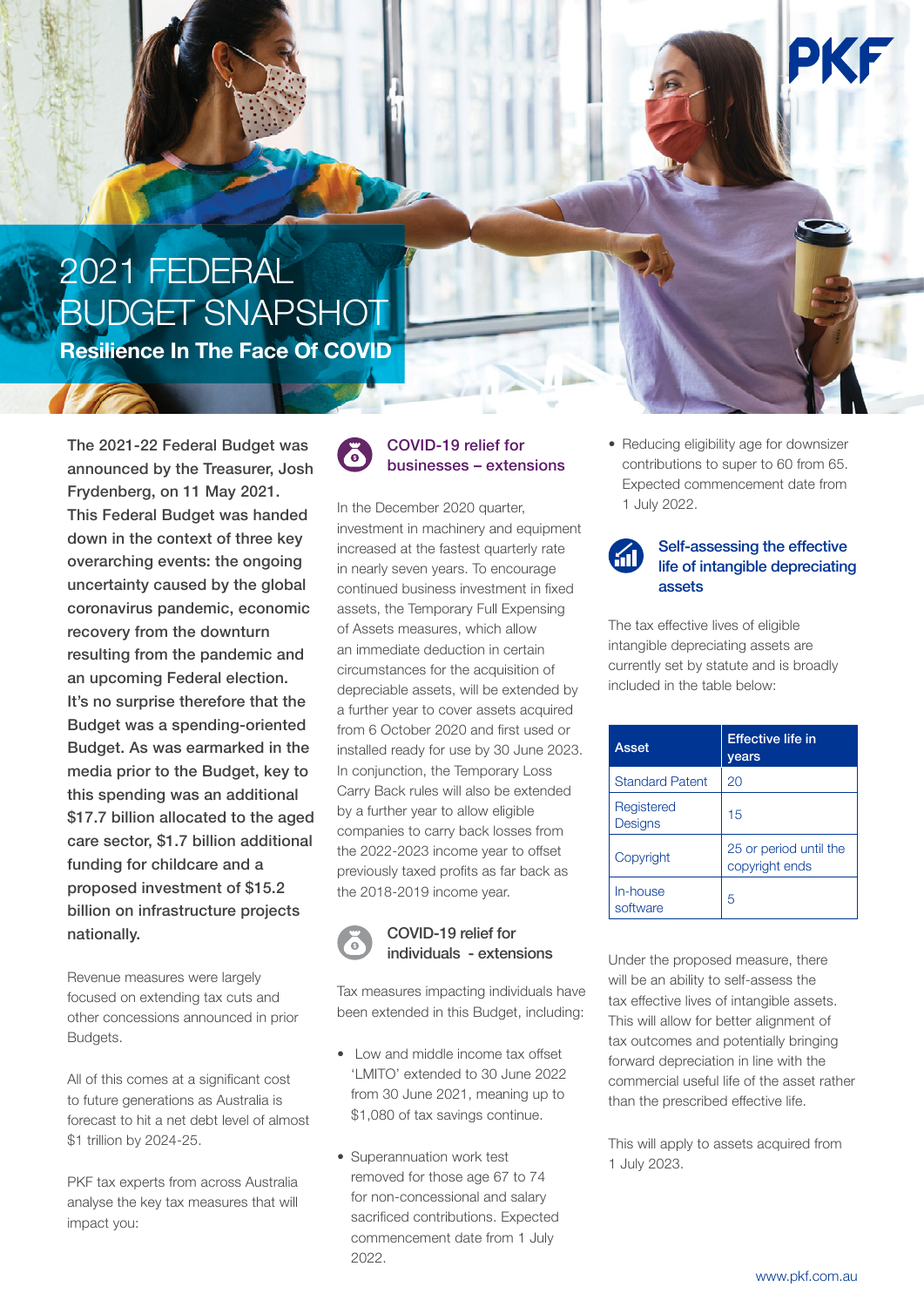# 2021 FEDERAL BUDGET SNAPSHOT

**Resilience In The Face Of COVID**

The 2021-22 Federal Budget was announced by the Treasurer, Josh Frydenberg, on 11 May 2021. This Federal Budget was handed down in the context of three key overarching events: the ongoing uncertainty caused by the global coronavirus pandemic, economic recovery from the downturn resulting from the pandemic and an upcoming Federal election. It's no surprise therefore that the Budget was a spending-oriented Budget. As was earmarked in the media prior to the Budget, key to this spending was an additional \$17.7 billion allocated to the aged care sector, \$1.7 billion additional funding for childcare and a proposed investment of \$15.2 billion on infrastructure projects nationally.

Revenue measures were largely focused on extending tax cuts and other concessions announced in prior Budgets.

All of this comes at a significant cost to future generations as Australia is forecast to hit a net debt level of almost \$1 trillion by 2024-25.

PKF tax experts from across Australia analyse the key tax measures that will impact you:



### COVID-19 relief for businesses – extensions

In the December 2020 quarter, investment in machinery and equipment increased at the fastest quarterly rate in nearly seven years. To encourage continued business investment in fixed assets, the Temporary Full Expensing of Assets measures, which allow an immediate deduction in certain circumstances for the acquisition of depreciable assets, will be extended by a further year to cover assets acquired from 6 October 2020 and first used or installed ready for use by 30 June 2023. In conjunction, the Temporary Loss Carry Back rules will also be extended by a further year to allow eligible companies to carry back losses from the 2022-2023 income year to offset previously taxed profits as far back as the 2018-2019 income year.



#### COVID-19 relief for individuals - extensions

Tax measures impacting individuals have been extended in this Budget, including:

- Low and middle income tax offset 'LMITO' extended to 30 June 2022 from 30 June 2021, meaning up to \$1,080 of tax savings continue.
- Superannuation work test removed for those age 67 to 74 for non-concessional and salary sacrificed contributions. Expected commencement date from 1 July 2022.

• Reducing eligibility age for downsizer contributions to super to 60 from 65. Expected commencement date from 1 July 2022.



The tax effective lives of eligible intangible depreciating assets are currently set by statute and is broadly included in the table below:

| Asset                        | <b>Effective life in</b><br>years        |
|------------------------------|------------------------------------------|
| <b>Standard Patent</b>       | 20                                       |
| Registered<br><b>Designs</b> | 15                                       |
| Copyright                    | 25 or period until the<br>copyright ends |
| In-house<br>software         | 5                                        |

Under the proposed measure, there will be an ability to self-assess the tax effective lives of intangible assets. This will allow for better alignment of tax outcomes and potentially bringing forward depreciation in line with the commercial useful life of the asset rather than the prescribed effective life.

This will apply to assets acquired from 1 July 2023.